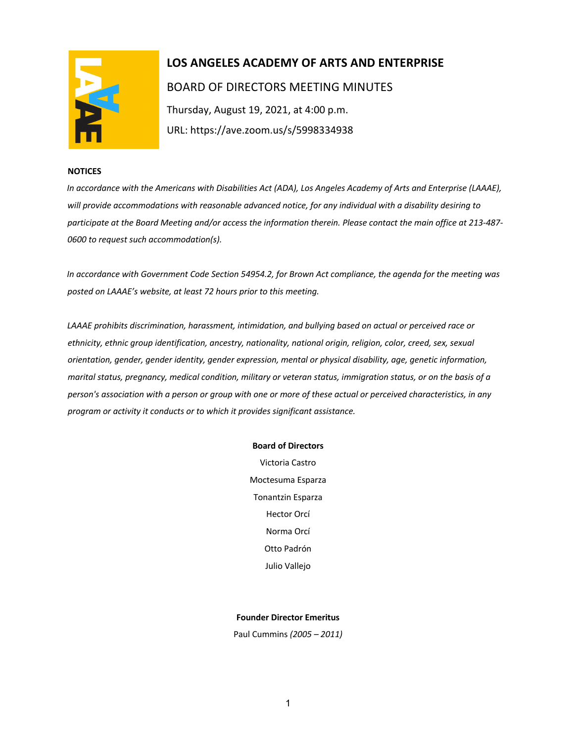

# **LOS ANGELES ACADEMY OF ARTS AND ENTERPRISE**  BOARD OF DIRECTORS MEETING MINUTES Thursday, August 19, 2021, at 4:00 p.m. URL: https://ave.zoom.us/s/5998334938

#### **NOTICES**

*In accordance with the Americans with Disabilities Act (ADA), Los Angeles Academy of Arts and Enterprise (LAAAE), will provide accommodations with reasonable advanced notice, for any individual with a disability desiring to participate at the Board Meeting and/or access the information therein. Please contact the main office at 213-487- 0600 to request such accommodation(s).* 

*In accordance with Government Code Section 54954.2, for Brown Act compliance, the agenda for the meeting was posted on LAAAE's website, at least 72 hours prior to this meeting.* 

*LAAAE prohibits discrimination, harassment, intimidation, and bullying based on actual or perceived race or ethnicity, ethnic group identification, ancestry, nationality, national origin, religion, color, creed, sex, sexual orientation, gender, gender identity, gender expression, mental or physical disability, age, genetic information, marital status, pregnancy, medical condition, military or veteran status, immigration status, or on the basis of a person's association with a person or group with one or more of these actual or perceived characteristics, in any program or activity it conducts or to which it provides significant assistance.* 

#### **Board of Directors**

Victoria Castro Moctesuma Esparza Tonantzin Esparza Hector Orcí Norma Orcí Otto Padrón Julio Vallejo

#### **Founder Director Emeritus**

Paul Cummins *(2005 – 2011)*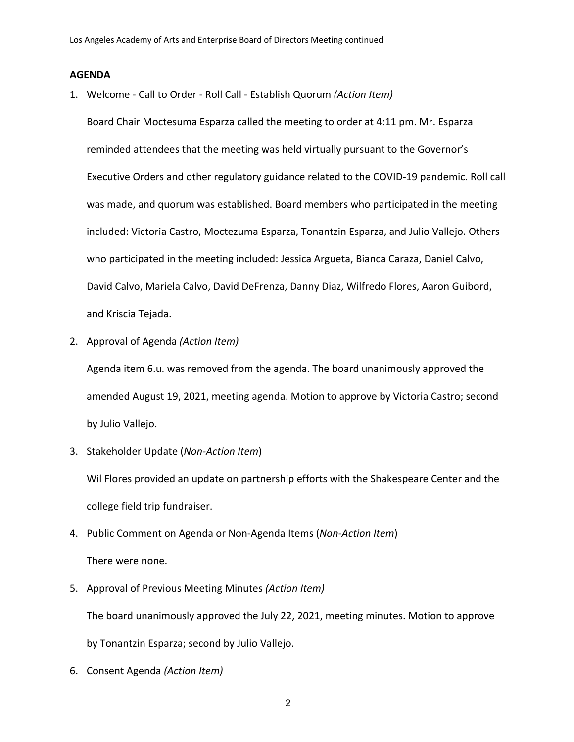### **AGENDA**

1. Welcome - Call to Order - Roll Call - Establish Quorum *(Action Item)*

Board Chair Moctesuma Esparza called the meeting to order at 4:11 pm. Mr. Esparza reminded attendees that the meeting was held virtually pursuant to the Governor's Executive Orders and other regulatory guidance related to the COVID-19 pandemic. Roll call was made, and quorum was established. Board members who participated in the meeting included: Victoria Castro, Moctezuma Esparza, Tonantzin Esparza, and Julio Vallejo. Others who participated in the meeting included: Jessica Argueta, Bianca Caraza, Daniel Calvo, David Calvo, Mariela Calvo, David DeFrenza, Danny Diaz, Wilfredo Flores, Aaron Guibord, and Kriscia Tejada.

2. Approval of Agenda *(Action Item)*

Agenda item 6.u. was removed from the agenda. The board unanimously approved the amended August 19, 2021, meeting agenda. Motion to approve by Victoria Castro; second by Julio Vallejo.

3. Stakeholder Update (*Non-Action Item*)

Wil Flores provided an update on partnership efforts with the Shakespeare Center and the college field trip fundraiser.

4. Public Comment on Agenda or Non-Agenda Items (*Non-Action Item*)

There were none.

5. Approval of Previous Meeting Minutes *(Action Item)*

The board unanimously approved the July 22, 2021, meeting minutes. Motion to approve

by Tonantzin Esparza; second by Julio Vallejo.

6. Consent Agenda *(Action Item)*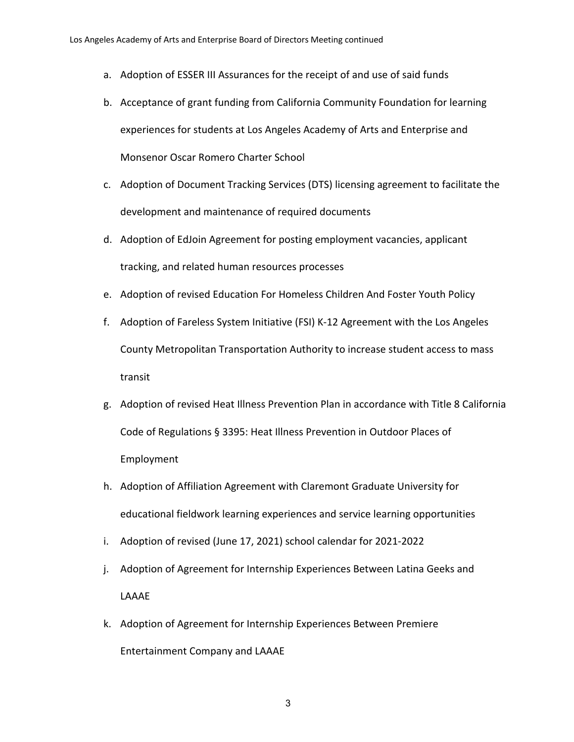- a. Adoption of ESSER III Assurances for the receipt of and use of said funds
- b. Acceptance of grant funding from California Community Foundation for learning experiences for students at Los Angeles Academy of Arts and Enterprise and Monsenor Oscar Romero Charter School
- c. Adoption of Document Tracking Services (DTS) licensing agreement to facilitate the development and maintenance of required documents
- d. Adoption of EdJoin Agreement for posting employment vacancies, applicant tracking, and related human resources processes
- e. Adoption of revised Education For Homeless Children And Foster Youth Policy
- f. Adoption of Fareless System Initiative (FSI) K-12 Agreement with the Los Angeles County Metropolitan Transportation Authority to increase student access to mass transit
- g. Adoption of revised Heat Illness Prevention Plan in accordance with Title 8 California Code of Regulations § 3395: Heat Illness Prevention in Outdoor Places of Employment
- h. Adoption of Affiliation Agreement with Claremont Graduate University for educational fieldwork learning experiences and service learning opportunities
- i. Adoption of revised (June 17, 2021) school calendar for 2021-2022
- j. Adoption of Agreement for Internship Experiences Between Latina Geeks and LAAAE
- k. Adoption of Agreement for Internship Experiences Between Premiere Entertainment Company and LAAAE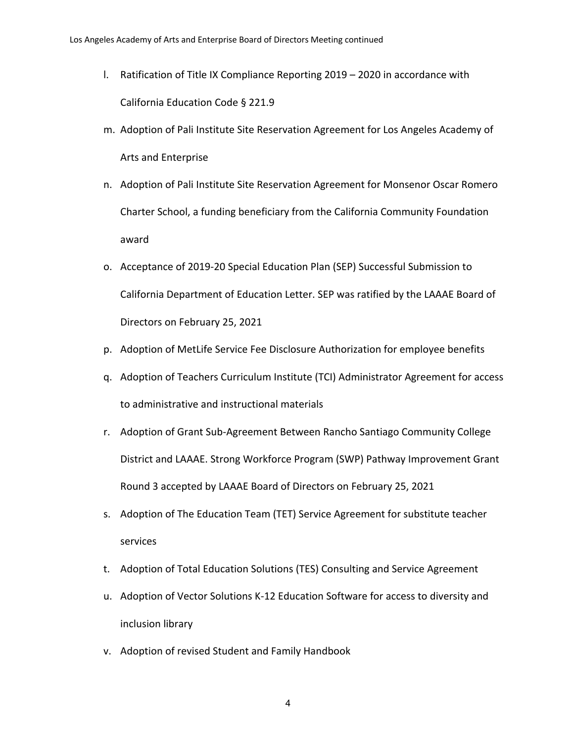- l. Ratification of Title IX Compliance Reporting 2019 2020 in accordance with California Education Code § 221.9
- m. Adoption of Pali Institute Site Reservation Agreement for Los Angeles Academy of Arts and Enterprise
- n. Adoption of Pali Institute Site Reservation Agreement for Monsenor Oscar Romero Charter School, a funding beneficiary from the California Community Foundation award
- o. Acceptance of 2019-20 Special Education Plan (SEP) Successful Submission to California Department of Education Letter. SEP was ratified by the LAAAE Board of Directors on February 25, 2021
- p. Adoption of MetLife Service Fee Disclosure Authorization for employee benefits
- q. Adoption of Teachers Curriculum Institute (TCI) Administrator Agreement for access to administrative and instructional materials
- r. Adoption of Grant Sub-Agreement Between Rancho Santiago Community College District and LAAAE. Strong Workforce Program (SWP) Pathway Improvement Grant Round 3 accepted by LAAAE Board of Directors on February 25, 2021
- s. Adoption of The Education Team (TET) Service Agreement for substitute teacher services
- t. Adoption of Total Education Solutions (TES) Consulting and Service Agreement
- u. Adoption of Vector Solutions K-12 Education Software for access to diversity and inclusion library
- v. Adoption of revised Student and Family Handbook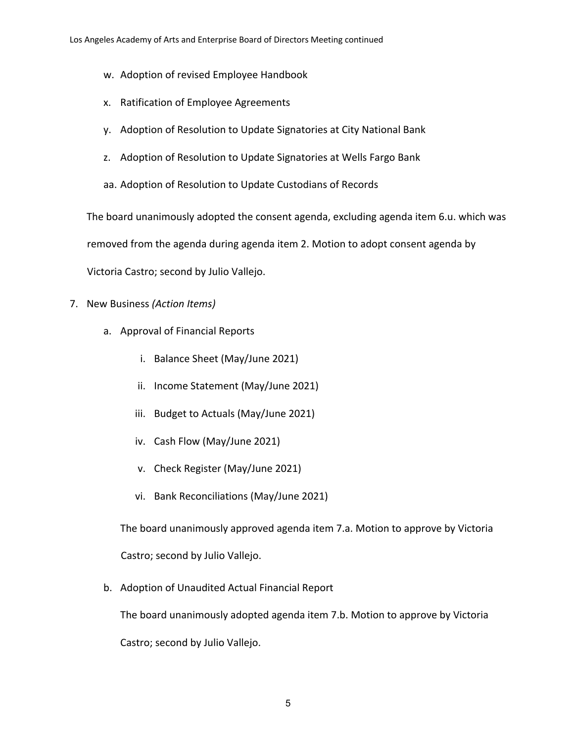- w. Adoption of revised Employee Handbook
- x. Ratification of Employee Agreements
- y. Adoption of Resolution to Update Signatories at City National Bank
- z. Adoption of Resolution to Update Signatories at Wells Fargo Bank
- aa. Adoption of Resolution to Update Custodians of Records

The board unanimously adopted the consent agenda, excluding agenda item 6.u. which was removed from the agenda during agenda item 2. Motion to adopt consent agenda by Victoria Castro; second by Julio Vallejo.

- 7. New Business *(Action Items)*
	- a. Approval of Financial Reports
		- i. Balance Sheet (May/June 2021)
		- ii. Income Statement (May/June 2021)
		- iii. Budget to Actuals (May/June 2021)
		- iv. Cash Flow (May/June 2021)
		- v. Check Register (May/June 2021)
		- vi. Bank Reconciliations (May/June 2021)

The board unanimously approved agenda item 7.a. Motion to approve by Victoria Castro; second by Julio Vallejo.

b. Adoption of Unaudited Actual Financial Report

The board unanimously adopted agenda item 7.b. Motion to approve by Victoria

Castro; second by Julio Vallejo.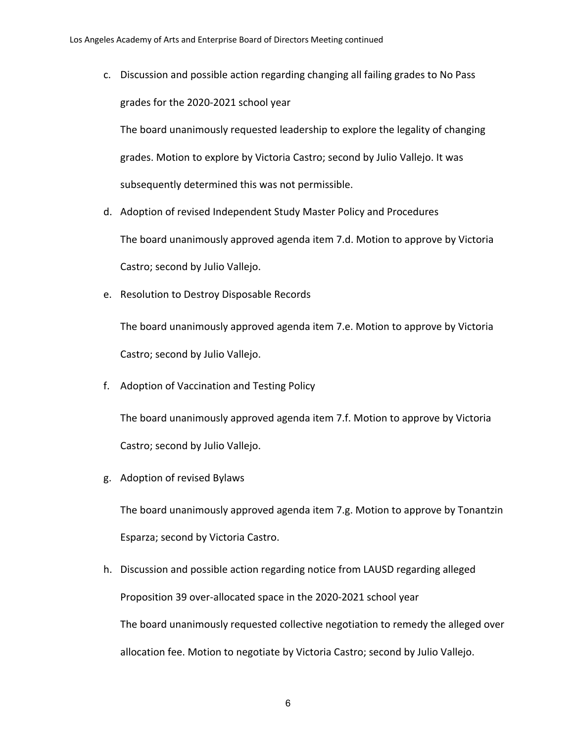c. Discussion and possible action regarding changing all failing grades to No Pass grades for the 2020-2021 school year

The board unanimously requested leadership to explore the legality of changing grades. Motion to explore by Victoria Castro; second by Julio Vallejo. It was subsequently determined this was not permissible.

- d. Adoption of revised Independent Study Master Policy and Procedures The board unanimously approved agenda item 7.d. Motion to approve by Victoria Castro; second by Julio Vallejo.
- e. Resolution to Destroy Disposable Records

The board unanimously approved agenda item 7.e. Motion to approve by Victoria Castro; second by Julio Vallejo.

f. Adoption of Vaccination and Testing Policy

The board unanimously approved agenda item 7.f. Motion to approve by Victoria Castro; second by Julio Vallejo.

g. Adoption of revised Bylaws

The board unanimously approved agenda item 7.g. Motion to approve by Tonantzin Esparza; second by Victoria Castro.

h. Discussion and possible action regarding notice from LAUSD regarding alleged Proposition 39 over-allocated space in the 2020-2021 school year The board unanimously requested collective negotiation to remedy the alleged over allocation fee. Motion to negotiate by Victoria Castro; second by Julio Vallejo.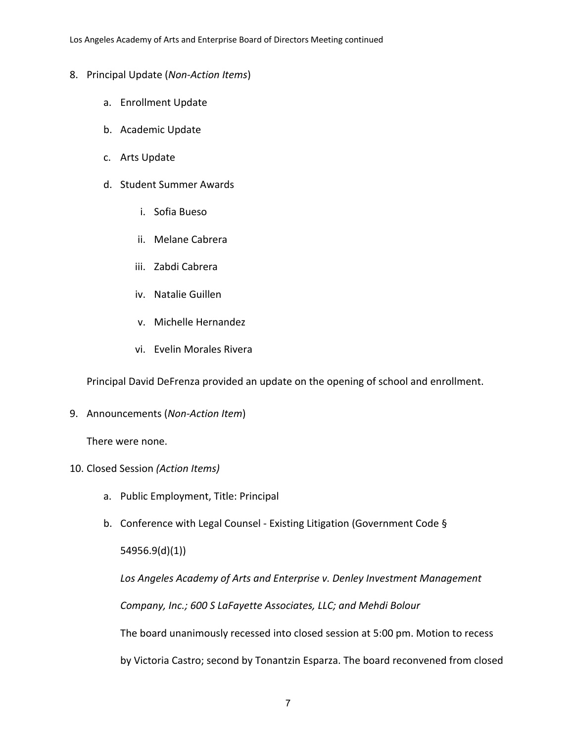- 8. Principal Update (*Non-Action Items*)
	- a. Enrollment Update
	- b. Academic Update
	- c. Arts Update
	- d. Student Summer Awards
		- i. Sofia Bueso
		- ii. Melane Cabrera
		- iii. Zabdi Cabrera
		- iv. Natalie Guillen
		- v. Michelle Hernandez
		- vi. Evelin Morales Rivera

Principal David DeFrenza provided an update on the opening of school and enrollment.

9. Announcements (*Non-Action Item*)

There were none.

# 10. Closed Session *(Action Items)*

- a. Public Employment, Title: Principal
- b. Conference with Legal Counsel Existing Litigation (Government Code §

54956.9(d)(1))

*Los Angeles Academy of Arts and Enterprise v. Denley Investment Management* 

*Company, Inc.; 600 S LaFayette Associates, LLC; and Mehdi Bolour*

The board unanimously recessed into closed session at 5:00 pm. Motion to recess

by Victoria Castro; second by Tonantzin Esparza. The board reconvened from closed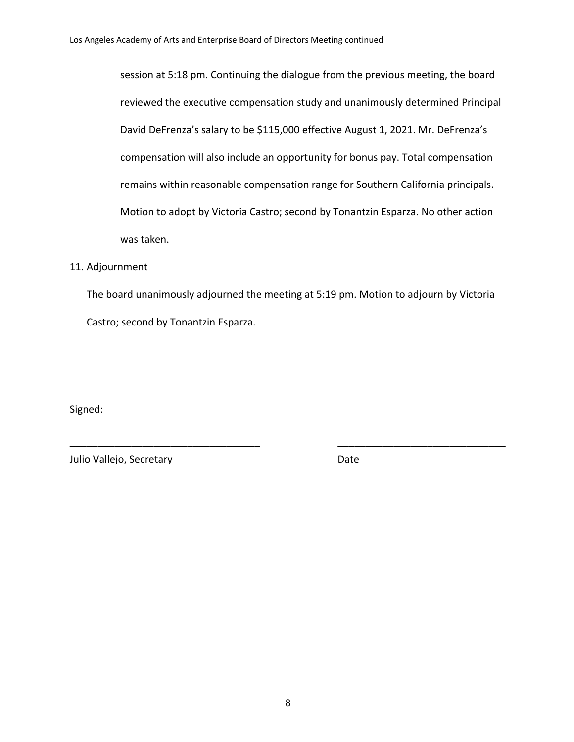session at 5:18 pm. Continuing the dialogue from the previous meeting, the board reviewed the executive compensation study and unanimously determined Principal David DeFrenza's salary to be \$115,000 effective August 1, 2021. Mr. DeFrenza's compensation will also include an opportunity for bonus pay. Total compensation remains within reasonable compensation range for Southern California principals. Motion to adopt by Victoria Castro; second by Tonantzin Esparza. No other action was taken.

## 11. Adjournment

The board unanimously adjourned the meeting at 5:19 pm. Motion to adjourn by Victoria Castro; second by Tonantzin Esparza.

\_\_\_\_\_\_\_\_\_\_\_\_\_\_\_\_\_\_\_\_\_\_\_\_\_\_\_\_\_\_\_\_\_\_ \_\_\_\_\_\_\_\_\_\_\_\_\_\_\_\_\_\_\_\_\_\_\_\_\_\_\_\_\_\_

Signed:

Julio Vallejo, Secretary **Date**